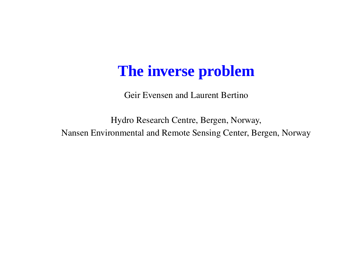#### **The inverse problem**

Geir Evensen and Laurent Bertino

Hydro Research Centre, Bergen, Norway, Nansen Environmental and Remote Sensing Center, Bergen, Norway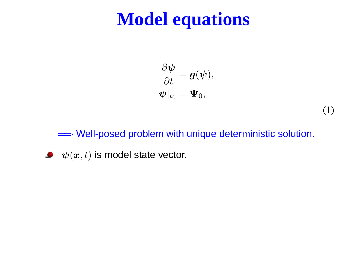#### **Model equations**

$$
\begin{aligned} \frac{\partial \boldsymbol{\psi}}{\partial t} &= \boldsymbol{g}(\boldsymbol{\psi}),\\ \boldsymbol{\psi}|_{t_0} &= \boldsymbol{\Psi}_0, \end{aligned}
$$

(1)

 $\Longrightarrow$  Well-posed problem with unique deterministic solution.

 $\blacktriangleright \psi(x,t)$  is model state vector.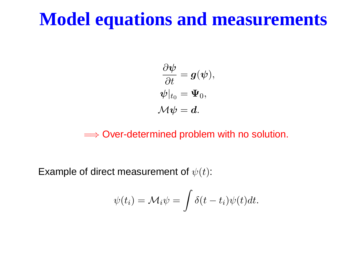#### **Model equations and measurements**

$$
\begin{aligned} \frac{\partial \boldsymbol{\psi}}{\partial t} &= \boldsymbol{g}(\boldsymbol{\psi}),\\ \boldsymbol{\psi}|_{t_0} &= \boldsymbol{\Psi}_0, \\ \mathcal{M} \boldsymbol{\psi} &= \boldsymbol{d}. \end{aligned}
$$

 $\Longrightarrow$  Over-determined problem with no solution.

Example of direct measurement of  $\psi(t)$ :

$$
\psi(t_i) = \mathcal{M}_i \psi = \int \delta(t - t_i) \psi(t) dt.
$$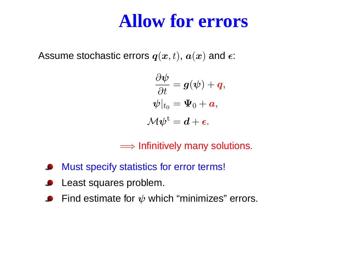#### **Allow for errors**

Assume stochastic errors  $\bm{q}(\bm{x},t)$ ,  $\bm{a}(\bm{x})$  and  $\bm{\epsilon}$ :

$$
\begin{aligned} \frac{\partial \boldsymbol{\psi}}{\partial t} &= \boldsymbol{g}(\boldsymbol{\psi}) + \boldsymbol{q}, \\ \boldsymbol{\psi}|_{t_0} &= \boldsymbol{\Psi}_0 + \boldsymbol{a}, \\ \mathcal{M} \boldsymbol{\psi}^\mathrm{t} &= \boldsymbol{d} + \boldsymbol{\epsilon}. \end{aligned}
$$

 $\Longrightarrow$  Infinitively many solutions.

- Must specify statistics for error terms!
- Least squares problem.
- Find estimate for  $\psi$  which "minimizes" errors.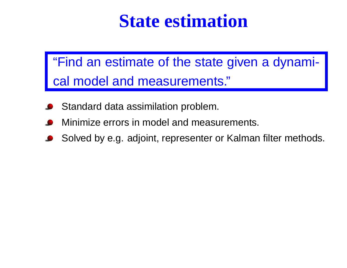#### **State estimation**

"Find an estimate of the state given <sup>a</sup> dynamical model and measurements."

- Standard data assimilation problem.
- Minimize errors in model and measurements.
- Solved by e.g. adjoint, representer or Kalman filter methods.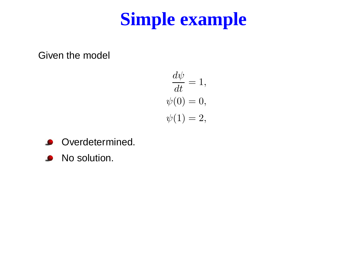## **Simple example**

Given the model

$$
\frac{d\psi}{dt} = 1,
$$
  

$$
\psi(0) = 0,
$$
  

$$
\psi(1) = 2,
$$

- **Overdetermined.**
- No solution.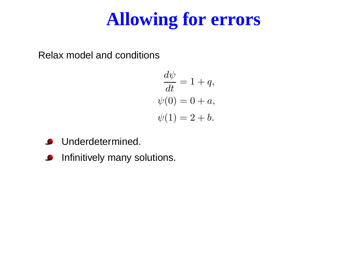# **Allowing for errors**

Relax model and conditions

$$
\frac{d\psi}{dt} = 1 + q,
$$
  

$$
\psi(0) = 0 + a,
$$
  

$$
\psi(1) = 2 + b.
$$

- **O** Underdetermined.
- **O** Infinitively many solutions.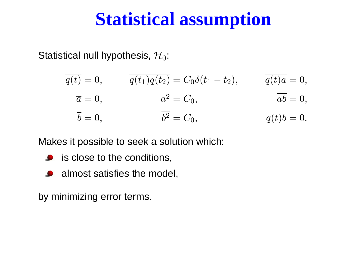#### **Statistical assumption**

Statistical null hypothesis,  $H_0$ :

| $q(t) = 0,$       | $q(t_1)q(t_2) = C_0\delta(t_1 - t_2),$ | $q(t)a=0,$                       |
|-------------------|----------------------------------------|----------------------------------|
| $\overline{a}=0,$ | $a^2 = C_0,$                           | $ab = 0,$                        |
| $b=0,$            | $b^2 = C_0,$                           | $\overline{q(t)}\overline{b}=0.$ |

Makes it possible to seek <sup>a</sup> solution which:

- is close to the conditions,
- almost satisfies the model,

by minimizing error terms.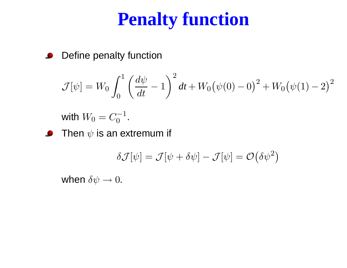## **Penalty function**

Define penalty function  $\bullet$ 

$$
\mathcal{J}[\psi] = W_0 \int_0^1 \left(\frac{d\psi}{dt} - 1\right)^2 dt + W_0 (\psi(0) - 0)^2 + W_0 (\psi(1) - 2)^2
$$

with  $W_0 = C_0^{-1}.$ 

 $\bullet$ Then  $\psi$  is an extremum if

$$
\delta \mathcal{J}[\psi]=\mathcal{J}[\psi+\delta\psi]-\mathcal{J}[\psi]=\mathcal{O}\big(\delta\psi^2\big)
$$

when  $\delta \psi \rightarrow 0.$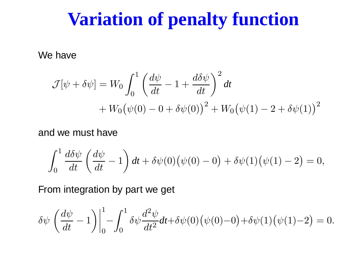#### **Variation of penalty function**

We have

$$
\mathcal{J}[\psi + \delta \psi] = W_0 \int_0^1 \left( \frac{d\psi}{dt} - 1 + \frac{d\delta \psi}{dt} \right)^2 dt
$$
  
+  $W_0 (\psi(0) - 0 + \delta \psi(0))^2 + W_0 (\psi(1) - 2 + \delta \psi(1))^2$ 

#### and we must have

$$
\int_0^1 \frac{d\delta\psi}{dt} \left(\frac{d\psi}{dt} - 1\right) dt + \delta\psi(0) (\psi(0) - 0) + \delta\psi(1) (\psi(1) - 2) = 0,
$$

From integration by part we get

$$
\delta \psi \left( \frac{d\psi}{dt} - 1 \right) \Big|_0^1 - \int_0^1 \delta \psi \frac{d^2 \psi}{dt^2} dt + \delta \psi(0) (\psi(0) - 0) + \delta \psi(1) (\psi(1) - 2) = 0.
$$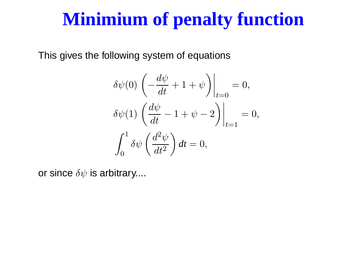### **Minimium of penalty function**

This gives the following system of equations

$$
\delta\psi(0) \left(-\frac{d\psi}{dt} + 1 + \psi\right)\Big|_{t=0} = 0,
$$
  

$$
\delta\psi(1) \left(\frac{d\psi}{dt} - 1 + \psi - 2\right)\Big|_{t=1} = 0,
$$
  

$$
\int_0^1 \delta\psi\left(\frac{d^2\psi}{dt^2}\right) dt = 0,
$$

or since  $\delta\psi$  is arbitrary....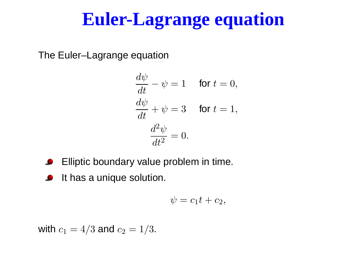## **Euler-Lagrange equation**

The Euler–Lagrange equation

$$
\frac{d\psi}{dt} - \psi = 1 \quad \text{ for } t = 0,
$$
  

$$
\frac{d\psi}{dt} + \psi = 3 \quad \text{ for } t = 1,
$$
  

$$
\frac{d^2\psi}{dt^2} = 0.
$$

- Elliptic boundary value problem in time.
- It has a unique solution.  $\bullet$

$$
\psi=c_1t+c_2,
$$

with  $c_1 = 4/3$  and  $c_2 = 1/3.$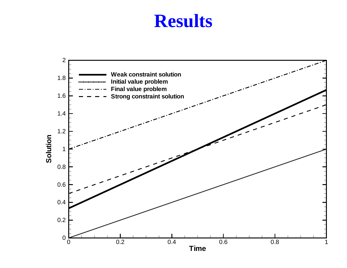#### **Results**